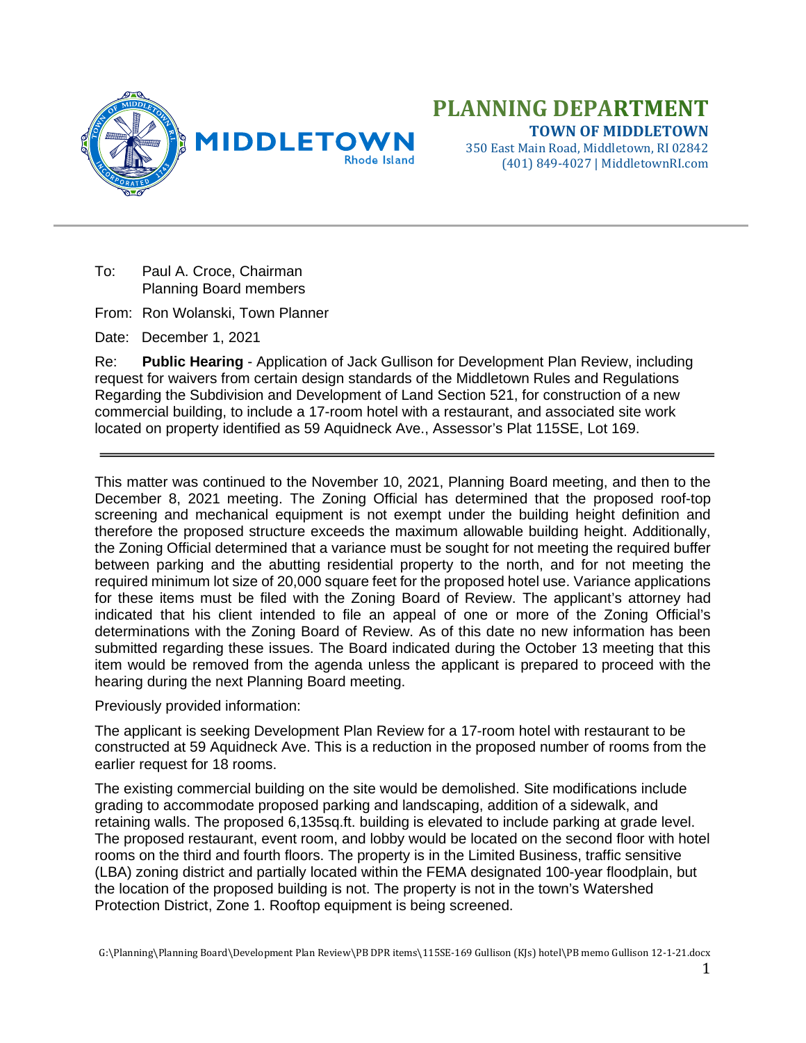

To: Paul A. Croce, Chairman Planning Board members

From: Ron Wolanski, Town Planner

Date: December 1, 2021

Re: **Public Hearing** - Application of Jack Gullison for Development Plan Review, including request for waivers from certain design standards of the Middletown Rules and Regulations Regarding the Subdivision and Development of Land Section 521, for construction of a new commercial building, to include a 17-room hotel with a restaurant, and associated site work located on property identified as 59 Aquidneck Ave., Assessor's Plat 115SE, Lot 169.

This matter was continued to the November 10, 2021, Planning Board meeting, and then to the December 8, 2021 meeting. The Zoning Official has determined that the proposed roof-top screening and mechanical equipment is not exempt under the building height definition and therefore the proposed structure exceeds the maximum allowable building height. Additionally, the Zoning Official determined that a variance must be sought for not meeting the required buffer between parking and the abutting residential property to the north, and for not meeting the required minimum lot size of 20,000 square feet for the proposed hotel use. Variance applications for these items must be filed with the Zoning Board of Review. The applicant's attorney had indicated that his client intended to file an appeal of one or more of the Zoning Official's determinations with the Zoning Board of Review. As of this date no new information has been submitted regarding these issues. The Board indicated during the October 13 meeting that this item would be removed from the agenda unless the applicant is prepared to proceed with the hearing during the next Planning Board meeting.

Previously provided information:

The applicant is seeking Development Plan Review for a 17-room hotel with restaurant to be constructed at 59 Aquidneck Ave. This is a reduction in the proposed number of rooms from the earlier request for 18 rooms.

The existing commercial building on the site would be demolished. Site modifications include grading to accommodate proposed parking and landscaping, addition of a sidewalk, and retaining walls. The proposed 6,135sq.ft. building is elevated to include parking at grade level. The proposed restaurant, event room, and lobby would be located on the second floor with hotel rooms on the third and fourth floors. The property is in the Limited Business, traffic sensitive (LBA) zoning district and partially located within the FEMA designated 100-year floodplain, but the location of the proposed building is not. The property is not in the town's Watershed Protection District, Zone 1. Rooftop equipment is being screened.

G:\Planning\Planning Board\Development Plan Review\PB DPR items\115SE-169 Gullison (KJs) hotel\PB memo Gullison 12-1-21.docx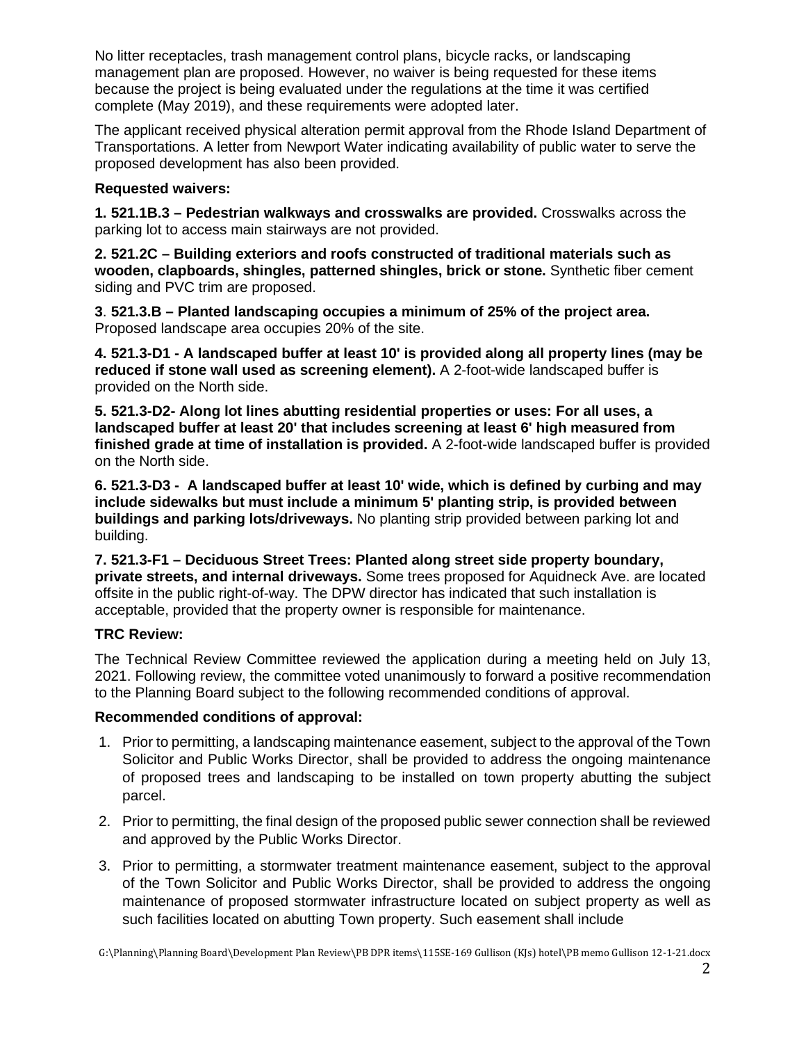No litter receptacles, trash management control plans, bicycle racks, or landscaping management plan are proposed. However, no waiver is being requested for these items because the project is being evaluated under the regulations at the time it was certified complete (May 2019), and these requirements were adopted later.

The applicant received physical alteration permit approval from the Rhode Island Department of Transportations. A letter from Newport Water indicating availability of public water to serve the proposed development has also been provided.

## **Requested waivers:**

**1. 521.1B.3 – Pedestrian walkways and crosswalks are provided.** Crosswalks across the parking lot to access main stairways are not provided.

**2. 521.2C – Building exteriors and roofs constructed of traditional materials such as wooden, clapboards, shingles, patterned shingles, brick or stone.** Synthetic fiber cement siding and PVC trim are proposed.

**3**. **521.3.B – Planted landscaping occupies a minimum of 25% of the project area.**  Proposed landscape area occupies 20% of the site.

**4. 521.3-D1 - A landscaped buffer at least 10' is provided along all property lines (may be reduced if stone wall used as screening element).** A 2-foot-wide landscaped buffer is provided on the North side.

**5. 521.3-D2- Along lot lines abutting residential properties or uses: For all uses, a landscaped buffer at least 20' that includes screening at least 6' high measured from finished grade at time of installation is provided.** A 2-foot-wide landscaped buffer is provided on the North side.

**6. 521.3-D3 - A landscaped buffer at least 10' wide, which is defined by curbing and may include sidewalks but must include a minimum 5' planting strip, is provided between buildings and parking lots/driveways.** No planting strip provided between parking lot and building.

**7. 521.3-F1 – Deciduous Street Trees: Planted along street side property boundary, private streets, and internal driveways.** Some trees proposed for Aquidneck Ave. are located offsite in the public right-of-way. The DPW director has indicated that such installation is acceptable, provided that the property owner is responsible for maintenance.

## **TRC Review:**

The Technical Review Committee reviewed the application during a meeting held on July 13, 2021. Following review, the committee voted unanimously to forward a positive recommendation to the Planning Board subject to the following recommended conditions of approval.

## **Recommended conditions of approval:**

- 1. Prior to permitting, a landscaping maintenance easement, subject to the approval of the Town Solicitor and Public Works Director, shall be provided to address the ongoing maintenance of proposed trees and landscaping to be installed on town property abutting the subject parcel.
- 2. Prior to permitting, the final design of the proposed public sewer connection shall be reviewed and approved by the Public Works Director.
- 3. Prior to permitting, a stormwater treatment maintenance easement, subject to the approval of the Town Solicitor and Public Works Director, shall be provided to address the ongoing maintenance of proposed stormwater infrastructure located on subject property as well as such facilities located on abutting Town property. Such easement shall include